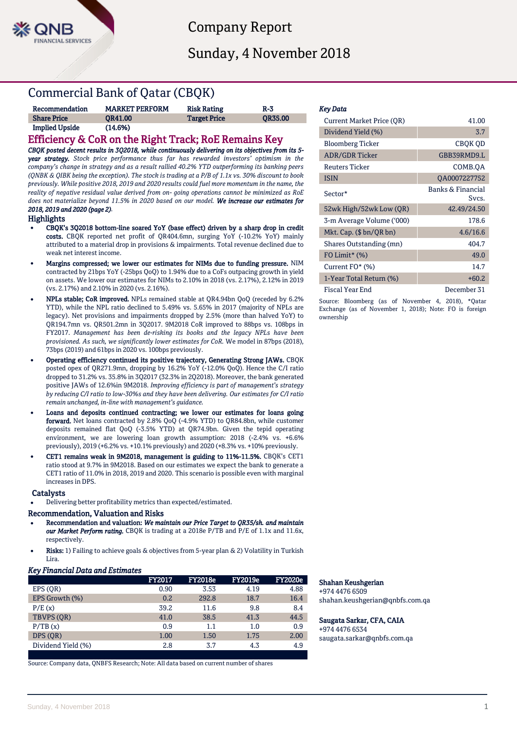

Company Report

Sunday, 4 November 2018

# Commercial Bank of Qatar (CBQK)

| Recommendation        | <b>MARKET PERFORM</b> | <b>Risk Rating</b>  | $R-3$          |
|-----------------------|-----------------------|---------------------|----------------|
| <b>Share Price</b>    | <b>OR41.00</b>        | <b>Target Price</b> | <b>OR35.00</b> |
| <b>Implied Upside</b> | (14.6%)               |                     |                |

## Efficiency & CoR on the Right Track; RoE Remains Key

*CBQK posted decent results in 3Q2018, while continuously delivering on its objectives from its 5 year strategy. Stock price performance thus far has rewarded investors' optimism in the company's change in strategy and as a result rallied 40.2% YTD outperforming its banking peers (QNBK & QIBK being the exception). The stock is trading at a P/B of 1.1x vs. 30% discount to book previously. While positive 2018, 2019 and 2020 results could fuel more momentum in the name, the reality of negative residual value derived from on- going operations cannot be minimized as RoE does not materialize beyond 11.5% in 2020 based on our model. We increase our estimates for 2018, 2019 and 2020 (page 2).* 

## Highlights

- CBQK's 3Q2018 bottom-line soared YoY (base effect) driven by a sharp drop in credit costs. CBQK reported net profit of QR404.6mn, surging YoY (-10.2% YoY) mainly attributed to a material drop in provisions & impairments. Total revenue declined due to weak net interest income.
- Margins compressed; we lower our estimates for NIMs due to funding pressure. NIM contracted by 21bps YoY (-25bps QoQ) to 1.94% due to a CoFs outpacing growth in yield on assets. We lower our estimates for NIMs to 2.10% in 2018 (vs. 2.17%), 2.12% in 2019 (vs. 2.17%) and 2.10% in 2020 (vs. 2.16%).
- NPLs stable; CoR improved. NPLs remained stable at QR4.94bn QoQ (receded by 6.2% YTD), while the NPL ratio declined to 5.49% vs. 5.65% in 2017 (majority of NPLs are legacy). Net provisions and impairments dropped by 2.5% (more than halved YoY) to QR194.7mn vs. QR501.2mn in 3Q2017. 9M2018 CoR improved to 88bps vs. 108bps in FY2017. *Management has been de-risking its books and the legacy NPLs have been provisioned. As such, we significantly lower estimates for CoR.* We model in 87bps (2018), 73bps (2019) and 61bps in 2020 vs. 100bps previously.
- Operating efficiency continued its positive trajectory, Generating Strong JAWs. CBQK posted opex of QR271.9mn, dropping by 16.2% YoY (-12.0% QoQ). Hence the C/I ratio dropped to 31.2% vs. 35.8% in 3Q2017 (32.3% in 2Q2018). Moreover, the bank generated positive JAWs of 12.6%in 9M2018. *Improving efficiency is part of management's strategy by reducing C/I ratio to low-30%s and they have been delivering. Our estimates for C/I ratio remain unchanged, in-line with management's guidance.*
- Loans and deposits continued contracting; we lower our estimates for loans going forward. Net loans contracted by 2.8% QoQ (-4.9% YTD) to QR84.8bn, while customer deposits remained flat QoQ (-3.5% YTD) at QR74.9bn. Given the tepid operating environment, we are lowering loan growth assumption: 2018 (-2.4% vs. +6.6% previously), 2019 (+6.2% vs. +10.1% previously) and 2020 (+8.3% vs. +10% previously.
- CET1 remains weak in 9M2018, management is guiding to 11%-11.5%. CBQK's CET1 ratio stood at 9.7% in 9M2018. Based on our estimates we expect the bank to generate a CET1 ratio of 11.0% in 2018, 2019 and 2020. This scenario is possible even with marginal increases in DPS.

## **Catalysts**

Delivering better profitability metrics than expected/estimated.

## Recommendation, Valuation and Risks

- Recommendation and valuation: *We maintain our Price Target to QR35/sh. and maintain our Market Perform rating.* CBQK is trading at a 2018e P/TB and P/E of 1.1x and 11.6x, respectively.
- Risks: 1) Failing to achieve goals & objectives from 5-year plan & 2) Volatility in Turkish Lira.

## *Key Financial Data and Estimates*

|                    | <b>FY2017</b> | <b>FY2018e</b> | <b>FY2019e</b> | <b>FY2020e</b> |
|--------------------|---------------|----------------|----------------|----------------|
| EPS (OR)           | 0.90          | 3.53           | 4.19           | 4.88           |
| EPS Growth (%)     | 0.2           | 292.8          | 18.7           | 16.4           |
| P/E(x)             | 39.2          | 11.6           | 9.8            | 8.4            |
| TBVPS (OR)         | 41.0          | 38.5           | 41.3           | 44.5           |
| P/TB(x)            | 0.9           | 1.1            | 1.0            | 0.9            |
| DPS (OR)           | 1.00          | 1.50           | 1.75           | 2.00           |
| Dividend Yield (%) | 2.8           | 3.7            | 4.3            | 4.9            |
|                    |               |                |                |                |

Source: Company data, QNBFS Research; Note: All data based on current number of shares

### *Key Data*

| <b>Current Market Price (QR)</b> | 41.00                      |
|----------------------------------|----------------------------|
| Dividend Yield (%)               | 3.7                        |
| <b>Bloomberg Ticker</b>          | CBQK QD                    |
| <b>ADR/GDR Ticker</b>            | GBB39RMD9.L                |
| <b>Reuters Ticker</b>            | COMB.OA                    |
| <b>ISIN</b>                      | QA0007227752               |
| Sector*                          | Banks & Financial<br>Svcs. |
| 52wk High/52wk Low (QR)          | 42.49/24.50                |
| 3-m Average Volume ('000)        | 178.6                      |
| Mkt. Cap. $(\$bn/QRbn)$          | 4.6/16.6                   |
| Shares Outstanding (mn)          | 404.7                      |
| FO Limit* $(\%)$                 | 49.0                       |
| Current FO* (%)                  | 14.7                       |
| 1-Year Total Return (%)          | $+60.2$                    |
| <b>Fiscal Year End</b>           | December 31                |

Source: Bloomberg (as of November 4, 2018), \*Qatar Exchange (as of November 1, 2018); Note: FO is foreign ownership

## Shahan Keushgerian

+974 4476 6509 shahan.keushgerian@qnbfs.com.qa

## Saugata Sarkar, CFA, CAIA

+974 4476 6534 saugata.sarkar@qnbfs.com.qa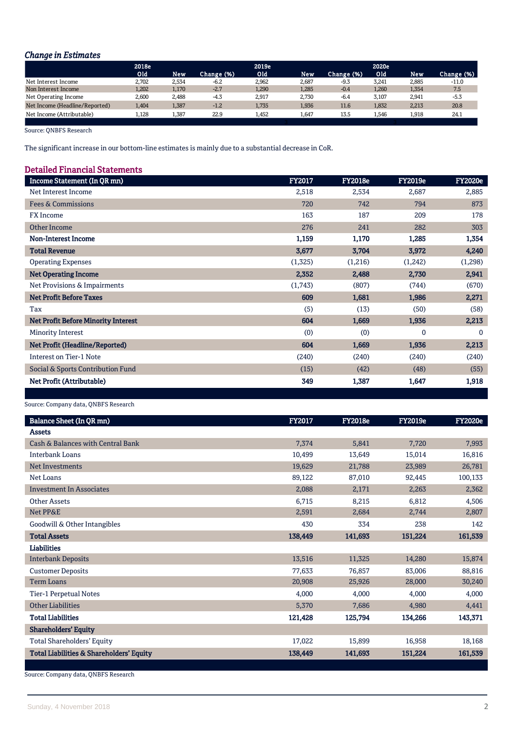## *Change in Estimates*

|                                | 2018e |       |            | 2019e        |       |            | 2020e            |            |            |
|--------------------------------|-------|-------|------------|--------------|-------|------------|------------------|------------|------------|
|                                | Old   | New   | Change (%) | Old <b>I</b> | New   | Change (%) | Old <sup>1</sup> | <b>New</b> | Change (%) |
| Net Interest Income            | 2.702 | 2,534 | $-6.2$     | 2.962        | 2.687 | $-9.3$     | 3.241            | 2.885      | $-11.0$    |
| Non Interest Income            | 1,202 | 1,170 | $-2.7$     | 1,290        | 1,285 | $-0.4$     | 1,260            | 1,354      | 7.5        |
| Net Operating Income           | 2.600 | 2.488 | $-4.3$     | 2.917        | 2.730 | $-6.4$     | 3.107            | 2.941      | $-5.3$     |
| Net Income (Headline/Reported) | 1.404 | 1,387 | $-1.2$     | 1.735        | 1,936 | 11.6       | 1.832            | 2.213      | 20.8       |
| Net Income (Attributable)      | 1,128 | 1,387 | 22.9       | 1.452        | 1,647 | 13.5       | 1.546            | 1,918      | 24.1       |
|                                |       |       |            |              |       |            |                  |            |            |

Source: QNBFS Research

The significant increase in our bottom-line estimates is mainly due to a substantial decrease in CoR.

## Detailed Financial Statements

| Income Statement (In QR mn)                | <b>FY2017</b> | <b>FY2018e</b> | <b>FY2019e</b> | <b>FY2020e</b> |
|--------------------------------------------|---------------|----------------|----------------|----------------|
| Net Interest Income                        | 2,518         | 2,534          | 2,687          | 2,885          |
| <b>Fees &amp; Commissions</b>              | 720           | 742            | 794            | 873            |
| <b>FX</b> Income                           | 163           | 187            | 209            | 178            |
| Other Income                               | 276           | 241            | 282            | 303            |
| <b>Non-Interest Income</b>                 | 1,159         | 1,170          | 1,285          | 1,354          |
| <b>Total Revenue</b>                       | 3,677         | 3,704          | 3,972          | 4,240          |
| <b>Operating Expenses</b>                  | (1,325)       | (1,216)        | (1,242)        | (1,298)        |
| <b>Net Operating Income</b>                | 2,352         | 2,488          | 2,730          | 2,941          |
| Net Provisions & Impairments               | (1,743)       | (807)          | (744)          | (670)          |
| <b>Net Profit Before Taxes</b>             | 609           | 1,681          | 1,986          | 2,271          |
| Tax                                        | (5)           | (13)           | (50)           | (58)           |
| <b>Net Profit Before Minority Interest</b> | 604           | 1,669          | 1,936          | 2,213          |
| Minority Interest                          | (0)           | (0)            | $\mathbf 0$    | $\mathbf 0$    |
| Net Profit (Headline/Reported)             | 604           | 1,669          | 1,936          | 2,213          |
| Interest on Tier-1 Note                    | (240)         | (240)          | (240)          | (240)          |
| Social & Sports Contribution Fund          | (15)          | (42)           | (48)           | (55)           |
| Net Profit (Attributable)                  | 349           | 1,387          | 1,647          | 1,918          |
|                                            |               |                |                |                |

ł

Source: Company data, QNBFS Research

| Balance Sheet (In QR mn)                                                                                          | FY2017  | <b>FY2018e</b> | <b>FY2019e</b> | <b>FY2020e</b> |
|-------------------------------------------------------------------------------------------------------------------|---------|----------------|----------------|----------------|
| <b>Assets</b>                                                                                                     |         |                |                |                |
| Cash & Balances with Central Bank                                                                                 | 7,374   | 5,841          | 7,720          | 7,993          |
| <b>Interbank Loans</b>                                                                                            | 10,499  | 13,649         | 15,014         | 16,816         |
| Net Investments                                                                                                   | 19,629  | 21,788         | 23,989         | 26,781         |
| Net Loans                                                                                                         | 89,122  | 87,010         | 92,445         | 100,133        |
| <b>Investment In Associates</b>                                                                                   | 2,088   | 2,171          | 2,263          | 2,362          |
| <b>Other Assets</b>                                                                                               | 6,715   | 8,215          | 6,812          | 4,506          |
| Net PP&E                                                                                                          | 2,591   | 2,684          | 2,744          | 2,807          |
| Goodwill & Other Intangibles                                                                                      | 430     | 334            | 238            | 142            |
| <b>Total Assets</b>                                                                                               | 138,449 | 141,693        | 151,224        | 161,539        |
| Liabilities                                                                                                       |         |                |                |                |
| <b>Interbank Deposits</b>                                                                                         | 13,516  | 11,325         | 14,280         | 15,874         |
| <b>Customer Deposits</b>                                                                                          | 77,633  | 76,857         | 83,006         | 88,816         |
| <b>Term Loans</b>                                                                                                 | 20,908  | 25,926         | 28,000         | 30,240         |
| Tier-1 Perpetual Notes                                                                                            | 4,000   | 4,000          | 4,000          | 4,000          |
| <b>Other Liabilities</b>                                                                                          | 5,370   | 7,686          | 4,980          | 4,441          |
| <b>Total Liabilities</b>                                                                                          | 121,428 | 125,794        | 134,266        | 143,371        |
| <b>Shareholders' Equity</b>                                                                                       |         |                |                |                |
| <b>Total Shareholders' Equity</b>                                                                                 | 17,022  | 15,899         | 16,958         | 18,168         |
| <b>Total Liabilities &amp; Shareholders' Equity</b>                                                               | 138,449 | 141,693        | 151,224        | 161,539        |
| $\mathbf{1}$ $\mathbf{1}$ $\mathbf{2}$ $\mathbf{3}$ $\mathbf{5}$ $\mathbf{5}$ $\mathbf{6}$ $\mathbf{7}$<br>$\sim$ |         |                |                |                |

Source: Company data, QNBFS Research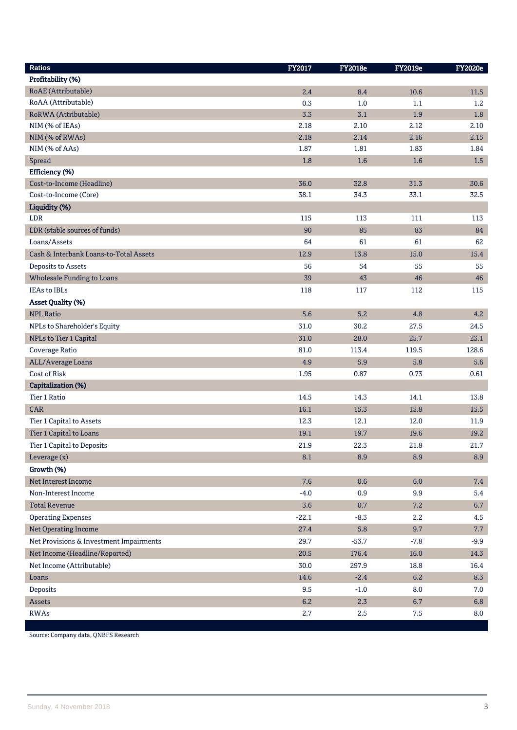| <b>Ratios</b>                           | FY2017  | <b>FY2018e</b> | <b>FY2019e</b> | <b>FY2020e</b> |
|-----------------------------------------|---------|----------------|----------------|----------------|
| Profitability (%)                       |         |                |                |                |
| RoAE (Attributable)                     | 2.4     | 8.4            | 10.6           | 11.5           |
| RoAA (Attributable)                     | 0.3     | 1.0            | 1.1            | 1.2            |
| RoRWA (Attributable)                    | 3.3     | 3.1            | 1.9            | $1.8\,$        |
| NIM (% of IEAs)                         | 2.18    | 2.10           | 2.12           | 2.10           |
| NIM (% of RWAs)                         | 2.18    | 2.14           | 2.16           | 2.15           |
| NIM (% of AAs)                          | 1.87    | 1.81           | 1.83           | 1.84           |
| Spread                                  | 1.8     | 1.6            | 1.6            | $1.5\,$        |
| Efficiency (%)                          |         |                |                |                |
| Cost-to-Income (Headline)               | 36.0    | 32.8           | 31.3           | 30.6           |
| Cost-to-Income (Core)                   | 38.1    | 34.3           | 33.1           | 32.5           |
| Liquidity (%)                           |         |                |                |                |
| LDR                                     | 115     | 113            | 111            | 113            |
| LDR (stable sources of funds)           | 90      | 85             | 83             | 84             |
| Loans/Assets                            | 64      | 61             | 61             | 62             |
| Cash & Interbank Loans-to-Total Assets  | 12.9    | 13.8           | 15.0           | 15.4           |
| Deposits to Assets                      | 56      | 54             | 55             | 55             |
| <b>Wholesale Funding to Loans</b>       | 39      | 43             | 46             | 46             |
| <b>IEAs to IBLs</b>                     | 118     | 117            | 112            | 115            |
| <b>Asset Quality (%)</b>                |         |                |                |                |
| <b>NPL Ratio</b>                        | 5.6     | 5.2            | 4.8            | 4.2            |
| NPLs to Shareholder's Equity            | 31.0    | 30.2           | 27.5           | 24.5           |
| NPLs to Tier 1 Capital                  | 31.0    | 28.0           | 25.7           | 23.1           |
| Coverage Ratio                          | 81.0    | 113.4          | 119.5          | 128.6          |
| ALL/Average Loans                       | 4.9     | 5.9            | 5.8            | 5.6            |
| Cost of Risk                            | 1.95    | 0.87           | 0.73           | 0.61           |
| Capitalization (%)                      |         |                |                |                |
| Tier 1 Ratio                            | 14.5    | 14.3           | 14.1           | 13.8           |
| <b>CAR</b>                              | 16.1    | 15.3           | 15.8           | 15.5           |
| Tier 1 Capital to Assets                | 12.3    | 12.1           | 12.0           | 11.9           |
| Tier 1 Capital to Loans                 | 19.1    | 19.7           | 19.6           | 19.2           |
| Tier 1 Capital to Deposits              | 21.9    | 22.3           | 21.8           | 21.7           |
| Leverage (x)                            | 8.1     | 8.9            | 8.9            | 8.9            |
| Growth (%)                              |         |                |                |                |
| Net Interest Income                     | 7.6     | 0.6            | 6.0            | 7.4            |
| Non-Interest Income                     | $-4.0$  | 0.9            | 9.9            | 5.4            |
| <b>Total Revenue</b>                    | 3.6     | 0.7            | 7.2            | 6.7            |
| <b>Operating Expenses</b>               | $-22.1$ | $-8.3$         | 2.2            | 4.5            |
| Net Operating Income                    | 27.4    | 5.8            | 9.7            | 7.7            |
| Net Provisions & Investment Impairments | 29.7    | $-53.7$        | $-7.8$         | $-9.9$         |
| Net Income (Headline/Reported)          | 20.5    | 176.4          | 16.0           | 14.3           |
| Net Income (Attributable)               | 30.0    | 297.9          | 18.8           | 16.4           |
| Loans                                   | 14.6    | $-2.4$         | 6.2            | 8.3            |
| Deposits                                | 9.5     | $-1.0$         | $8.0\,$        | 7.0            |
| Assets                                  | 6.2     | 2.3            | 6.7            | 6.8            |
| <b>RWAs</b>                             | 2.7     | 2.5            | $7.5\,$        | 8.0            |

Source: Company data, QNBFS Research